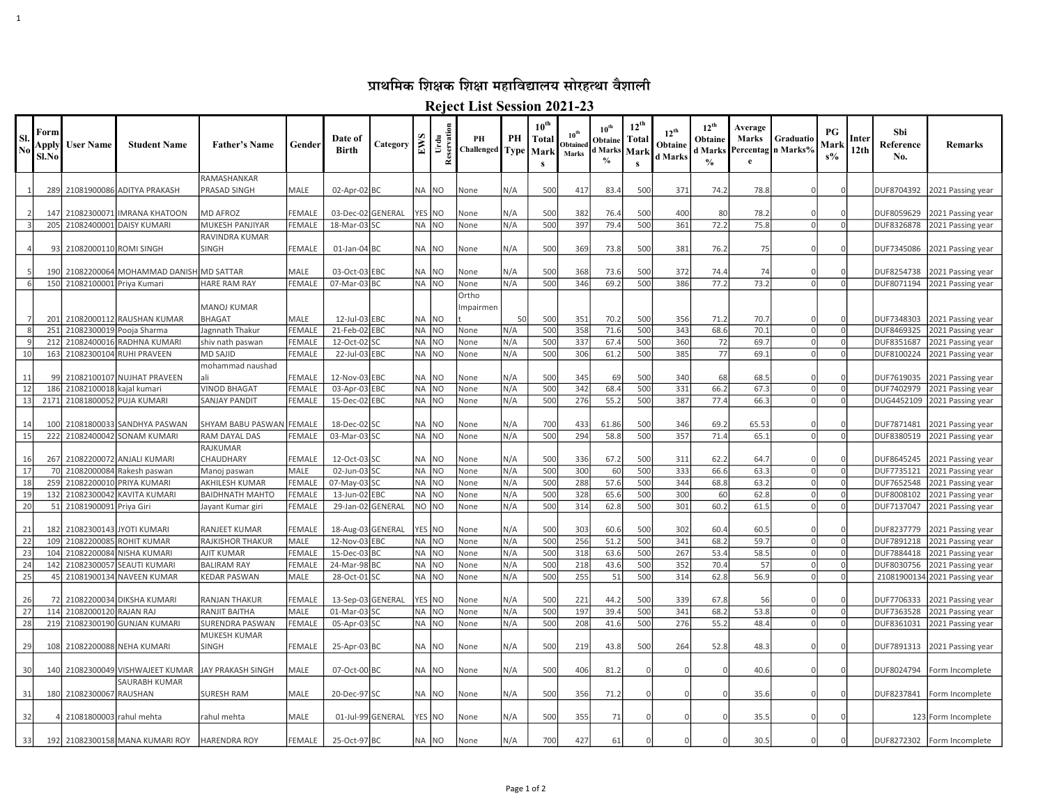## प्राथमिक शिक्षक शिक्षा महाविद्यालय सोरहत्था वैशाली

1

Reject List Session 2021-23

| <b>SI</b><br>N | Form<br>Apply<br>Sl.No | <b>User Name</b>             | <b>Student Name</b>             | <b>Father's Name</b>        | Gender        | Date of<br><b>Birth</b>            | Category          | E <sub>N</sub> | eservati<br>Urdu | PН<br><b>Challenged</b> Type | PH         | $10^{\text{th}}$<br>Total<br>Mark | 10 <sup>th</sup><br><b>Obtained</b><br>Marks | 10 <sup>th</sup><br>Obtaine<br>d Marks | $12^{th}$<br>Total<br>Marl | $12^{\text{th}}$<br>Obtaine<br>d Marks | $12^{th}$<br>Obtaine<br>d Marks<br>$\%$ | Average<br>Marks<br>Percentag<br>e | Graduatio<br>n Marks <sup>9</sup> / | РG<br>Mark<br>$s\%$ | Inter<br>12 <sub>th</sub> | Sbi<br>Reference<br>No. | Remarks                                |
|----------------|------------------------|------------------------------|---------------------------------|-----------------------------|---------------|------------------------------------|-------------------|----------------|------------------|------------------------------|------------|-----------------------------------|----------------------------------------------|----------------------------------------|----------------------------|----------------------------------------|-----------------------------------------|------------------------------------|-------------------------------------|---------------------|---------------------------|-------------------------|----------------------------------------|
|                | 289                    |                              | 21081900086 ADITYA PRAKASH      | RAMASHANKAR<br>PRASAD SINGH | MALE          | $02$ -Apr-02 BC                    |                   | NA             | NO.              | None                         | N/A        | 500                               | 417                                          | 83.4                                   | 500                        | 371                                    | 74.2                                    | 78.8                               |                                     |                     |                           | DUF8704392              | 2021 Passing year                      |
|                |                        |                              |                                 |                             |               |                                    |                   |                |                  |                              |            |                                   |                                              |                                        |                            |                                        |                                         |                                    |                                     |                     |                           |                         |                                        |
|                | 147                    | 21082300071                  | <b>IMRANA KHATOON</b>           | <b>MD AFROZ</b>             | <b>FEMALE</b> | 03-Dec-02 GENERAL                  |                   |                | YES NO           | None                         | N/A        | 500                               | 382                                          | 76.4                                   | 500                        | 400                                    | 80                                      | 78.2                               |                                     |                     |                           | DUF8059629              | 2021 Passing year                      |
|                | 205                    | 21082400001                  | DAISY KUMARI                    | MUKESH PANJIYAR             | <b>FEMALE</b> | 18-Mar-03 SC                       |                   |                | NA NO            | None                         | N/A        | 500                               | 397                                          | 79.4                                   | 500                        | 361                                    | 72.2                                    | 75.8                               | $\Omega$                            |                     |                           | DUF8326878              | 2021 Passing year                      |
|                |                        |                              |                                 | RAVINDRA KUMAR              |               |                                    |                   |                |                  |                              |            |                                   |                                              |                                        |                            |                                        |                                         |                                    |                                     |                     |                           |                         |                                        |
|                | 93                     | 21082000110 ROMI SINGH       |                                 | <b>SINGH</b>                | <b>FEMALE</b> | $01$ -Jan-04 BC                    |                   | NA             | NO.              | None                         | N/A        | 500                               | 369                                          | 73.8                                   | 500                        | 381                                    | 76.2                                    | 75                                 |                                     |                     |                           | DUF7345086              | 2021 Passing year                      |
|                |                        |                              |                                 |                             |               |                                    |                   |                |                  |                              |            |                                   |                                              |                                        |                            |                                        |                                         |                                    |                                     |                     |                           |                         |                                        |
|                | 190                    | 21082200064                  | MOHAMMAD DANISH MD SATTAR       |                             | MALE          | 03-Oct-03 EBC                      |                   |                | NA NO            | None                         | N/A        | 500                               | 368                                          | 73.6                                   | 500                        | 372<br>386                             | 74.4<br>77.2                            | 74                                 | $\Omega$                            |                     |                           | DUF8254738              | 2021 Passing year                      |
| 6              |                        | 150 21082100001 Priya Kumari |                                 | <b>HARE RAM RAY</b>         | <b>FEMALE</b> | 07-Mar-03 BC                       |                   |                | NA NO            | None<br>Ortho                | N/A        | 500                               | 346                                          | 69.2                                   | 500                        |                                        |                                         | 73.2                               |                                     |                     |                           | DUF8071194              | 2021 Passing year                      |
|                |                        |                              |                                 | <b>MANOJ KUMAR</b>          |               |                                    |                   |                |                  | mpairmen                     |            |                                   |                                              |                                        |                            |                                        |                                         |                                    |                                     |                     |                           |                         |                                        |
|                | 201                    |                              | 21082000112 RAUSHAN KUMAR       | <b>BHAGAT</b>               | MALE          | 12-Jul-03 EBC                      |                   |                | NA NO            |                              | 50         | 500                               | 351                                          | 70.2                                   | 500                        | 356                                    | 71.2                                    | 70.7                               |                                     |                     |                           | DUF7348303              | 2021 Passing year                      |
|                | 251                    | 21082300019                  | Pooja Sharma                    | Jagnnath Thakur             | <b>FEMALE</b> | 21-Feb-02 EBC                      |                   | NA             | N <sub>O</sub>   | None                         | N/A        | 500                               | 358                                          | 71.6                                   | 500                        | 343                                    | 68.6                                    | 70.1                               | $\cap$                              |                     |                           | DUF8469325              | 2021 Passing year                      |
|                | 212                    | 21082400016                  | RADHNA KUMARI                   | shiv nath paswan            | <b>FEMALE</b> | 12-Oct-02 SC                       |                   | <b>NA</b>      | N <sub>O</sub>   | None                         | N/A        | 500                               | 337                                          | 67.4                                   | 500                        | 360                                    | 72                                      | 69.7                               | $\Omega$                            |                     |                           | DUF8351687              | 2021 Passing year                      |
| 10             | 163                    | 21082300104                  | <b>RUHI PRAVEEN</b>             | <b>MD SAJID</b>             | <b>FEMALE</b> | 22-Jul-03 EBC                      |                   | NA             | NO.              | None                         | N/A        | 500                               | 306                                          | 61.2                                   | 500                        | 385                                    | 77                                      | 69.1                               | $\Omega$                            | $\sqrt{ }$          |                           | DUF8100224              | 2021 Passing year                      |
|                |                        |                              |                                 | mohammad naushad            |               |                                    |                   |                |                  |                              |            |                                   |                                              |                                        |                            |                                        |                                         |                                    |                                     |                     |                           |                         |                                        |
| 11             | 99                     | 21082100107                  | <b>NUJHAT PRAVEEN</b>           |                             | FEMALE        | 12-Nov-03 EBC                      |                   | NA             | NO.              | None                         | N/A        | 500                               | 345                                          | 69                                     | 500                        | 340                                    | 68                                      | 68.5                               |                                     |                     |                           | DUF7619035              | 2021 Passing year                      |
| 12             | 186                    | 2108210001                   | kajal kumari                    | <b>VINOD BHAGAT</b>         | <b>FEMALE</b> | 03-Apr-03 EBC                      |                   | NA             | N <sub>O</sub>   | None                         | N/A        | 500                               | 342                                          | 68.4                                   | 500                        | 331                                    | 66.2                                    | 67.3                               | $\Omega$                            |                     |                           | DUF7402979              | 2021 Passing year                      |
| 13             | 2171                   | 21081800052                  | PUJA KUMARI                     | SANJAY PANDIT               | <b>FEMALE</b> | 15-Dec-02 EBC                      |                   | <b>NA</b>      | N <sub>O</sub>   | None                         | N/A        | 500                               | 276                                          | 55.2                                   | 500                        | 387                                    | 77.4                                    | 66.3                               | $\Omega$                            | $\Omega$            |                           | DUG4452109              | 2021 Passing year                      |
|                |                        |                              |                                 |                             |               |                                    |                   |                |                  |                              |            |                                   |                                              |                                        |                            |                                        |                                         |                                    |                                     |                     |                           |                         |                                        |
| 14             | 10 $C$                 | 21081800033                  | SANDHYA PASWAN                  | SHYAM BABU PASWAN FEMALE    |               | 18-Dec-02 SC                       |                   | NA             | NO               | None                         | N/A        | 700                               | 433                                          | 61.86                                  | 500                        | 346                                    | 69.2                                    | 65.53                              |                                     |                     |                           | DUF7871481              | 2021 Passing year                      |
| 15             | 222                    | 21082400042                  | <b>SONAM KUMARI</b>             | RAM DAYAL DAS               | <b>FEMALE</b> | $03$ -Mar-03 $ SC$                 |                   | NA             | N <sub>O</sub>   | None                         | N/A        | 500                               | 294                                          | 58.8                                   | 500                        | 357                                    | 71.4                                    | 65.1                               | $\Omega$                            |                     |                           | DUF8380519              | 2021 Passing year                      |
|                |                        |                              |                                 | RAJKUMAR                    |               |                                    |                   |                |                  |                              |            |                                   |                                              |                                        |                            |                                        |                                         |                                    |                                     |                     |                           |                         |                                        |
| 16             | 267                    | 21082200072                  | <b>ANJALI KUMARI</b>            | CHAUDHARY                   | <b>FEMALE</b> | 12-Oct-03 SC                       |                   | <b>NA</b>      | NO.              | None                         | N/A        | 500                               | 336                                          | 67.2                                   | 500                        | 311                                    | 62.2                                    | 64.7                               |                                     |                     |                           | DUF8645245              | 2021 Passing year                      |
| 17             | 70                     | 21082000084                  | Rakesh paswan                   | Manoj paswan                | MALE          | 02-Jun-03 SC                       |                   | NA             | NO.              | None                         | N/A        | 500                               | 300                                          | 60                                     | 500                        | 333                                    | 66.6                                    | 63.3                               | $\Omega$                            | $\sqrt{ }$          |                           | DUF7735121              | 2021 Passing year                      |
| 18             | 259                    | 2108220001                   | PRIYA KUMARI                    | AKHILESH KUMAR              | <b>FEMALE</b> | 07-May-03 SC                       |                   | <b>NA</b>      | N <sub>O</sub>   | None                         | N/A        | 500                               | 288                                          | 57.6                                   | 500                        | 344                                    | 68.8                                    | 63.2                               | $\Omega$                            |                     |                           | DUF7652548              | 2021 Passing year                      |
| 19             | 132                    | 21082300042                  | <b>KAVITA KUMARI</b>            | <b>BAIDHNATH MAHTO</b>      | <b>FEMALE</b> | 13-Jun-02 EBC                      |                   | <b>NA</b>      | N <sub>O</sub>   | None                         | N/A        | 500                               | 328                                          | 65.6                                   | 500                        | 300                                    | 60                                      | 62.8                               | $\Omega$                            | $\Omega$            |                           | DUF8008102              | 2021 Passing year                      |
| 20             | 51                     | 2108190009                   | Priya Giri                      | Jayant Kumar giri           | <b>FEMALE</b> | 29-Jan-02 GENERAL                  |                   | NO             | N <sub>O</sub>   | None                         | N/A        | 500                               | 314                                          | 62.8                                   | 500                        | 301                                    | 60.2                                    | 61.5                               | $\Omega$                            | $\Omega$            |                           | DUF7137047              | 2021 Passing year                      |
|                | 182                    | 21082300143                  | <b>JYOTI KUMARI</b>             | RANJEET KUMAR               | <b>FEMALE</b> |                                    |                   | <b>YES</b>     | N <sub>O</sub>   |                              |            | 500                               |                                              | 60.6                                   | 500                        | 302                                    | 60.4                                    | 60.5                               |                                     |                     |                           | DUF8237779              |                                        |
| 21<br>22       | 109                    | 21082200085                  | <b>ROHIT KUMAR</b>              | RAJKISHOR THAKUR            | <b>MALE</b>   | 18-Aug-03 GENERAL<br>12-Nov-03 EBC |                   |                | NA NO            | None<br>None                 | N/A<br>N/A | 500                               | 303<br>256                                   | 51.2                                   | 500                        | 341                                    | 68.2                                    | 59.7                               | $\Omega$                            | $\Omega$            |                           | DUF7891218              | 2021 Passing year<br>2021 Passing year |
| 23             | 104                    | 21082200084                  | NISHA KUMARI                    | <b>AJIT KUMAR</b>           | <b>FEMALE</b> | 15-Dec-03 BC                       |                   | <b>NA</b>      | N <sub>O</sub>   | None                         | N/A        | 500                               | 318                                          | 63.6                                   | 500                        | 267                                    | 53.4                                    | 58.5                               | $\Omega$                            | $\Omega$            |                           | DUF7884418              | 2021 Passing year                      |
| 24             | 142                    | 21082300057                  | <b>SEAUTI KUMARI</b>            | <b>BALIRAM RAY</b>          | <b>FEMALE</b> | 24-Mar-98 BC                       |                   | <b>NA</b>      | N <sub>O</sub>   | None                         | N/A        | 500                               | 218                                          | 43.6                                   | 500                        | 352                                    | 70.4                                    | 57                                 | $\Omega$                            | $\Omega$            |                           | DUF8030756              | 2021 Passing year                      |
| 25             | 45                     | 21081900134                  | <b>NAVEEN KUMAR</b>             | <b>KEDAR PASWAN</b>         | <b>MALE</b>   | 28-Oct-01 SC                       |                   |                | NA NO            | None                         | N/A        | 500                               | 255                                          | 51                                     | 500                        | 314                                    | 62.8                                    | 56.9                               | $\Omega$                            |                     |                           |                         | 21081900134 2021 Passing year          |
|                |                        |                              |                                 |                             |               |                                    |                   |                |                  |                              |            |                                   |                                              |                                        |                            |                                        |                                         |                                    |                                     |                     |                           |                         |                                        |
| 26             | 72                     |                              | 21082200034 DIKSHA KUMARI       | <b>RANJAN THAKUR</b>        | <b>FEMALE</b> | 13-Sep-03 GENERAL                  |                   |                | YES NO           | None                         | N/A        | 500                               | 221                                          | 44.2                                   | 500                        | 339                                    | 67.8                                    | 56                                 |                                     |                     |                           | DUF7706333              | 2021 Passing year                      |
| 27             | 114                    | 21082000120 RAJAN RAJ        |                                 | RANJIT BAITHA               | MALE          | $01$ -Mar-03 $ SC$                 |                   |                | NA NO            | None                         | N/A        | 500                               | 197                                          | 39.4                                   | 500                        | 341                                    | 68.2                                    | 53.8                               | $\Omega$                            | $\Omega$            |                           | DUF7363528              | 2021 Passing year                      |
| 28             | 219                    |                              | 21082300190 GUNJAN KUMARI       | SURENDRA PASWAN             | <b>FEMALE</b> | 05-Apr-03 SC                       |                   | <b>NA</b>      | NO.              | None                         | N/A        | 500                               | 208                                          | 41.6                                   | 500                        | 276                                    | 55.2                                    | 48.4                               |                                     |                     |                           | DUF8361031              | 2021 Passing year                      |
|                |                        |                              |                                 | MUKESH KUMAR                |               |                                    |                   |                |                  |                              |            |                                   |                                              |                                        |                            |                                        |                                         |                                    |                                     |                     |                           |                         |                                        |
| 29             | 108                    |                              | 21082200088 NEHA KUMARI         | <b>SINGH</b>                | <b>FEMALE</b> | 25-Apr-03 BC                       |                   | <b>NA</b>      | NO.              | None                         | N/A        | 500                               | 219                                          | 43.8                                   | 500                        | 264                                    | 52.8                                    | 48.3                               |                                     |                     |                           | DUF7891313              | 2021 Passing year                      |
|                |                        |                              |                                 |                             |               |                                    |                   |                |                  |                              |            |                                   |                                              |                                        |                            |                                        |                                         |                                    |                                     |                     |                           |                         |                                        |
| 30             | 140                    |                              | 21082300049 VISHWAJEET KUMAR    | <b>JAY PRAKASH SINGH</b>    | MALE          | 07-Oct-00 BC                       |                   |                | NA NO            | None                         | N/A        | 500                               | 406                                          | 81.2                                   |                            |                                        |                                         | 40.6                               |                                     |                     |                           | DUF8024794              | Form Incomplete                        |
| 31             | 180                    | 21082300067                  | SAURABH KUMAR<br><b>RAUSHAN</b> | <b>SURESH RAM</b>           | MALE          | 20-Dec-97 SC                       |                   | NA             | NO.              | None                         | N/A        | 500                               | 356                                          | 71.2                                   |                            |                                        |                                         | 35.6                               |                                     |                     |                           | DUF8237841              | Form Incomplete                        |
|                |                        |                              |                                 |                             |               |                                    |                   |                |                  |                              |            |                                   |                                              |                                        |                            |                                        |                                         |                                    |                                     |                     |                           |                         |                                        |
| 32             |                        | 21081800003 rahul mehta      |                                 | rahul mehta                 | MALE          |                                    | 01-Jul-99 GENERAL |                | YES NO           | None                         | N/A        | 500                               | 355                                          | 71                                     |                            |                                        |                                         | 35.5                               |                                     |                     |                           |                         | 123 Form Incomplete                    |
| 33             |                        |                              | 192 21082300158 MANA KUMARI ROY | <b>HARENDRA ROY</b>         | FEMALE        | 25-Oct-97 BC                       |                   |                | NA NO            | None                         | N/A        | 700                               | 427                                          | 61                                     |                            |                                        |                                         | 30.5                               |                                     | $\Omega$            |                           |                         | DUF8272302   Form Incomplete           |